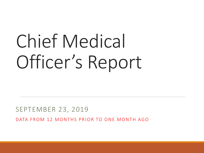# Chief Medical Officer's Report

#### SEPTEMBER 23, 2019

DATA FROM 12 MONTHS PRIOR TO ONE MONTH AGO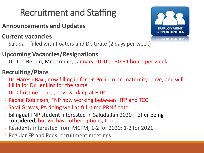# Recruitment and Staffing

- **Announcements and Updates**
- **Current vacancies**
- Saluda filled with floaters and Dr. Grate (2 days per week)

### **Upcoming Vacancies/Resignations**

◦ Dr. Jon Berbin, McCormick, January 2020 to 30-31 hours per week

### **Recruiting/Plans**

- Dr. Haresh Baxi, now filling in for Dr. Polanco on maternity leave, and will fill in for Dr. Jenkins for the same
- Dr. Christine Chard, now working at HTP
- Rachel Robinson, FNP now working between HTP and TCC
- Sarai Graves, PA doing well as full-time PRN floater
- Bilingual FNP student interested in Saluda Jan 2020 offer being considered, but we have other options, too
- Residents interested from MCFM; 1-2 for 2020; 1-2 for 2021
- Regular FP and Peds recruitment meetings

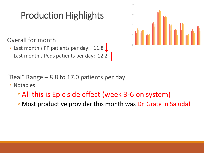# Production Highlights

Overall for month

- Last month's FP patients per day: 11.8
- Last month's Peds patients per day: 12.2



"Real" Range  $-8.8$  to 17.0 patients per day

◦ Notables

- All this is Epic side effect (week 3-6 on system)
- Most productive provider this month was Dr. Grate in Saluda!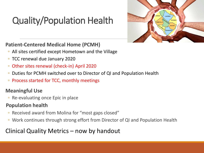# Quality/Population Health



#### **Patient-Centered Medical Home (PCMH)**

- All sites certified except Hometown and the Village
- TCC renewal due January 2020
- Other sites renewal (check-in) April 2020
- Duties for PCMH switched over to Director of QI and Population Health
- Process started for TCC, monthly meetings

#### **Meaningful Use**

◦ Re-evaluating once Epic in place

#### **Population health**

- Received award from Molina for "most gaps closed"
- Work continues through strong effort from Director of QI and Population Health

### Clinical Quality Metrics – now by handout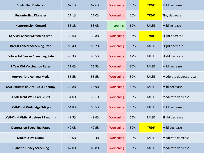| <b>Controlled Diabetes</b>                | 62.1% | 62.6% | Worsening | 60% | <b>TRUE</b>  | Mild decrease            |
|-------------------------------------------|-------|-------|-----------|-----|--------------|--------------------------|
| <b>Uncontrolled Diabetes</b>              | 27.1% | 27.0% | Worsening | 20% | <b>TRUE</b>  | Tiny decrease            |
| <b>Hypertension Control</b>               | 58.3% | 58.0% | Improving | 60% | <b>FALSE</b> | Mild increase            |
| <b>Cervical Cancer Screening Rate</b>     | 39.6% | 39.8% | Worsening | 35% | <b>TRUE</b>  | Slight decrease          |
| <b>Breast Cancer Screening Rate</b>       | 55.4% | 55.7% | Worsening | 60% | <b>FALSE</b> | Slight decrease          |
| <b>Colorectal Cancer Screening Rate</b>   | 43.3% | 43.5% | Worsening | 47% | <b>FALSE</b> | Slight decrease          |
| 2 Year Old Vaccination Rates              | 21.6% | 22.3% | Worsening | 30% | <b>FALSE</b> | Mild decrease            |
| <b>Appropriate Asthma Meds</b>            | 55.5% | 56.5% | Worsening | 80% | <b>FALSE</b> | Moderate decrease, again |
| <b>CAD Patients on Anti-Lipid Therapy</b> | 74.8% | 75.9% | Worsening | 80% | <b>FALSE</b> | Mild decrease            |
| <b>Adolescent Well-Care Visits</b>        | 34.0% | 36.1% | Worsening | 50% | <b>FALSE</b> | Moderate decrease        |
| Well-Child Visits, Age 3-6 yrs            | 54.8% | 55.5% | Worsening | 60% | <b>FALSE</b> | Mild decrease            |
| Well-Child Visits, 6 before 15 months     | 49.3% | 49.6% | Worsening | 55% | <b>FALSE</b> | Slight decrease          |
| <b>Depression Screening Rates</b>         | 49.0% | 49.5% | Worsening | 30% | <b>TRUE</b>  | Mild decrease            |
| <b>Diabetic Eye Exams</b>                 | 18.0% | 19.4% | Worsening | 30% | <b>FALSE</b> | Moderate decrease        |
| <b>Diabetic Kidney Screening</b>          | 62.8% | 63.8% | Worsening | 80% | <b>FALSE</b> | Moderate decrease        |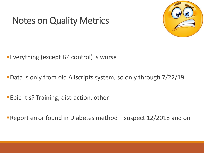# Notes on Quality Metrics



Everything (except BP control) is worse

Data is only from old Allscripts system, so only through 7/22/19

Epic-itis? Training, distraction, other

Report error found in Diabetes method – suspect 12/2018 and on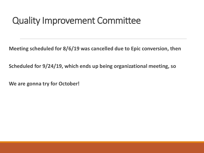## Quality Improvement Committee

**Meeting scheduled for 8/6/19 was cancelled due to Epic conversion, then**

**Scheduled for 9/24/19, which ends up being organizational meeting, so**

**We are gonna try for October!**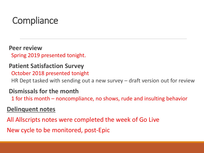# **Compliance**

**Peer review** Spring 2019 presented tonight.

### **Patient Satisfaction Survey**

October 2018 presented tonight

HR Dept tasked with sending out a new survey – draft version out for review

#### **Dismissals for the month**

1 for this month – noncompliance, no shows, rude and insulting behavior

### **Delinquent notes**

All Allscripts notes were completed the week of Go Live

New cycle to be monitored, post-Epic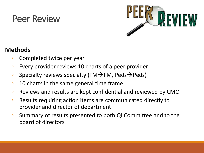### Peer Review



### **Methods**

- Completed twice per year
- Every provider reviews 10 charts of a peer provider
- Specialty reviews specialty (FM $\rightarrow$ FM, Peds $\rightarrow$ Peds)
- 10 charts in the same general time frame
- Reviews and results are kept confidential and reviewed by CMO
- Results requiring action items are communicated directly to provider and director of department
- Summary of results presented to both QI Committee and to the board of directors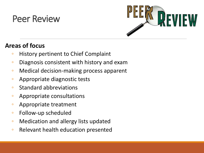## Peer Review



### **Areas of focus**

- History pertinent to Chief Complaint
- Diagnosis consistent with history and exam
- Medical decision-making process apparent
- Appropriate diagnostic tests
- Standard abbreviations
- Appropriate consultations
- Appropriate treatment
- Follow-up scheduled
- Medication and allergy lists updated
- Relevant health education presented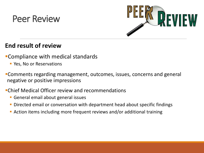### Peer Review



### **End result of review**

- Compliance with medical standards
	- **Yes, No or Reservations**
- Comments regarding management, outcomes, issues, concerns and general negative or positive impressions
- Chief Medical Officer review and recommendations
	- **General email about general issues**
	- Directed email or conversation with department head about specific findings
	- Action items including more frequent reviews and/or additional training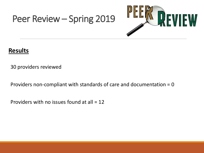## Peer Review – Spring 2019



### **Results**

30 providers reviewed

Providers non-compliant with standards of care and documentation = 0

Providers with no issues found at all = 12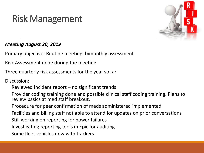# Risk Management



#### *Meeting August 20, 2019*

Primary objective: Routine meeting, bimonthly assessment

Risk Assessment done during the meeting

Three quarterly risk assessments for the year so far

Discussion:

Reviewed incident report – no significant trends

Provider coding training done and possible clinical staff coding training. Plans to review basics at med staff breakout.

Procedure for peer confirmation of meds administered implemented

Facilities and billing staff not able to attend for updates on prior conversations

Still working on reporting for power failures

Investigating reporting tools in Epic for auditing

Some fleet vehicles now with trackers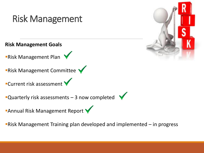

Risk Management Training plan developed and implemented – in progress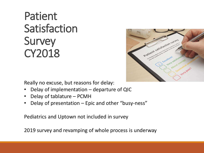

Really no excuse, but reasons for delay:

- Delay of implementation departure of QIC
- Delay of tablature PCMH
- Delay of presentation Epic and other "busy-ness"

Pediatrics and Uptown not included in survey

2019 survey and revamping of whole process is underway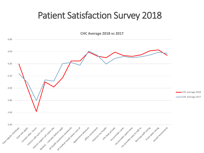**CHC Average 2018 vs 2017**

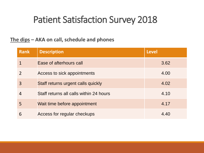#### **The dips – AKA on call, schedule and phones**

| <b>Rank</b> | <b>Description</b>                      | <b>Level</b> |
|-------------|-----------------------------------------|--------------|
|             | Ease of afterhours call                 | 3.62         |
|             | Access to sick appointments             | 4.00         |
| 3           | Staff returns urgent calls quickly      | 4.02         |
| 4           | Staff returns all calls within 24 hours | 4.10         |
| 5           | Wait time before appointment            | 4.17         |
| 6           | Access for regular checkups             | 4.40         |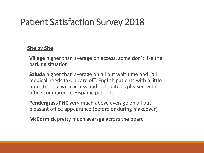#### **Site by Site**

**Village** higher than average on access, some don't like the parking situation

**Saluda** higher than average on all but wait time and "all medical needs taken care of". English patients with a little more trouble with access and not quite as pleased with office compared to Hispanic patients.

**Pendergrass FHC** very much above average on all but pleasant office appearance (before or during makeover)

**McCormick** pretty much average across the board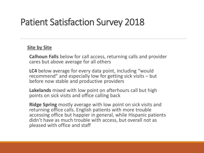#### **Site by Site**

**Calhoun Falls** below for call access, returning calls and provider cares but above average for all others

**LC4** below average for every data point, including "would recommend" and especially low for getting sick visits – but before now stable and productive providers

**Lakelands** mixed with low point on afterhours call but high points on sick visits and office calling back

**Ridge Spring** mostly average with low point on sick visits and returning office calls. English patients with more trouble accessing office but happier in general, while Hispanic patients didn't have as much trouble with access, but overall not as pleased with office and staff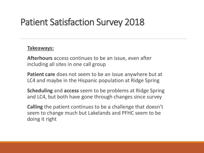#### **Takeaways:**

**Afterhours** access continues to be an issue, even after including all sites in one call group

**Patient care** does not seem to be an issue anywhere but at LC4 and maybe in the Hispanic population at Ridge Spring

**Scheduling** and **access** seem to be problems at Ridge Spring and LC4, but both have gone through changes since survey

**Calling** the patient continues to be a challenge that doesn't seem to change much but Lakelands and PFHC seem to be doing it right